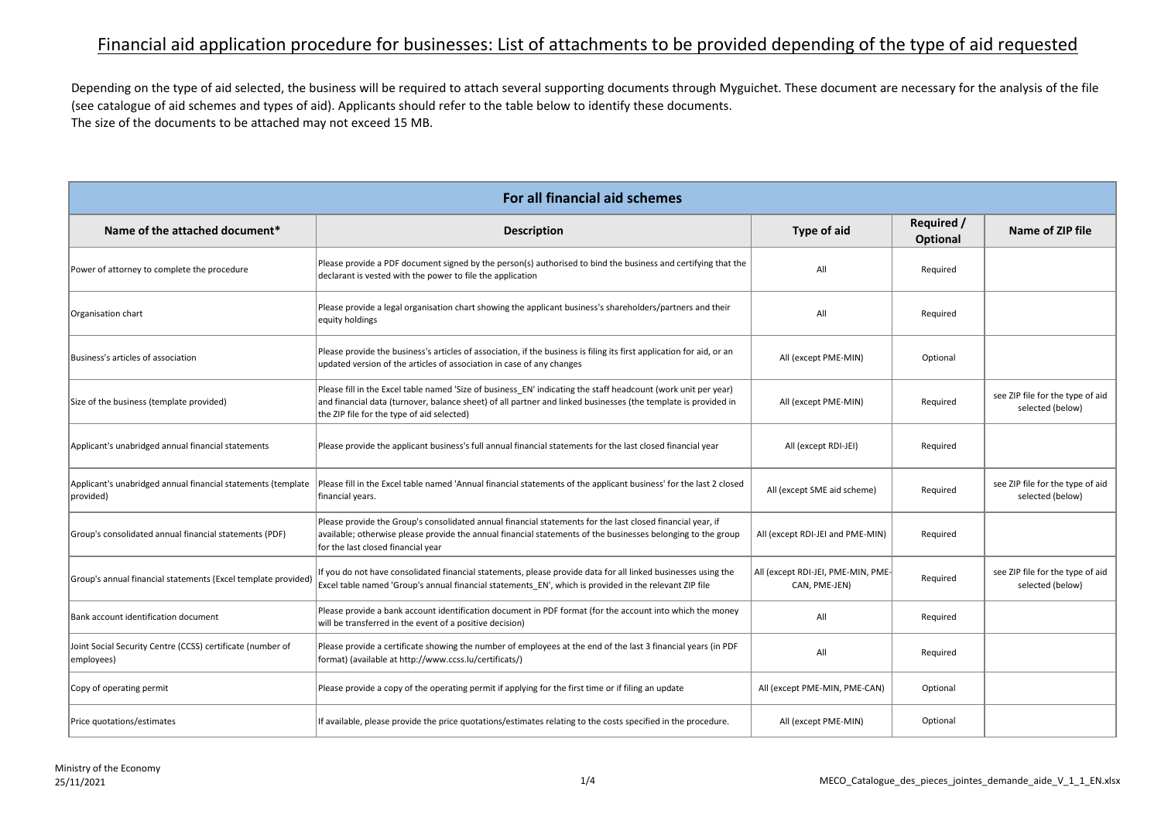## Financial aid application procedure for businesses: List of attachments to be provided depending of the type of aid requested

Depending on the type of aid selected, the business will be required to attach several supporting documents through Myguichet. These document are necessary for the analysis of the file (see catalogue of aid schemes and types of aid). Applicants should refer to the table below to identify these documents. The size of the documents to be attached may not exceed 15 MB.

| For all financial aid schemes                                             |                                                                                                                                                                                                                                                                                |                                                     |                        |                                                      |
|---------------------------------------------------------------------------|--------------------------------------------------------------------------------------------------------------------------------------------------------------------------------------------------------------------------------------------------------------------------------|-----------------------------------------------------|------------------------|------------------------------------------------------|
| Name of the attached document*                                            | <b>Description</b>                                                                                                                                                                                                                                                             | Type of aid                                         | Required /<br>Optional | Name of ZIP file                                     |
| Power of attorney to complete the procedure                               | Please provide a PDF document signed by the person(s) authorised to bind the business and certifying that the<br>declarant is vested with the power to file the application                                                                                                    | All                                                 | Reguired               |                                                      |
| Organisation chart                                                        | Please provide a legal organisation chart showing the applicant business's shareholders/partners and their<br>equity holdings                                                                                                                                                  | All                                                 | Reguired               |                                                      |
| Business's articles of association                                        | Please provide the business's articles of association, if the business is filing its first application for aid, or an<br>updated version of the articles of association in case of any changes                                                                                 | All (except PME-MIN)                                | Optional               |                                                      |
| Size of the business (template provided)                                  | Please fill in the Excel table named 'Size of business EN' indicating the staff headcount (work unit per year)<br>and financial data (turnover, balance sheet) of all partner and linked businesses (the template is provided in<br>the ZIP file for the type of aid selected) | All (except PME-MIN)                                | Reguired               | see ZIP file for the type of aid<br>selected (below) |
| Applicant's unabridged annual financial statements                        | Please provide the applicant business's full annual financial statements for the last closed financial year                                                                                                                                                                    | All (except RDI-JEI)                                | Required               |                                                      |
| Applicant's unabridged annual financial statements (template<br>provided) | Please fill in the Excel table named 'Annual financial statements of the applicant business' for the last 2 closed<br>financial years.                                                                                                                                         | All (except SME aid scheme)                         | Required               | see ZIP file for the type of aid<br>selected (below) |
| Group's consolidated annual financial statements (PDF)                    | Please provide the Group's consolidated annual financial statements for the last closed financial year, if<br>available; otherwise please provide the annual financial statements of the businesses belonging to the group<br>for the last closed financial year               | All (except RDI-JEI and PME-MIN)                    | Required               |                                                      |
| Group's annual financial statements (Excel template provided              | If you do not have consolidated financial statements, please provide data for all linked businesses using the<br>Excel table named 'Group's annual financial statements EN', which is provided in the relevant ZIP file                                                        | All (except RDI-JEI, PME-MIN, PME-<br>CAN, PME-JEN) | Reguired               | see ZIP file for the type of aid<br>selected (below) |
| Bank account identification document                                      | Please provide a bank account identification document in PDF format (for the account into which the money<br>will be transferred in the event of a positive decision)                                                                                                          | All                                                 | Required               |                                                      |
| Joint Social Security Centre (CCSS) certificate (number of<br>employees)  | Please provide a certificate showing the number of employees at the end of the last 3 financial years (in PDF<br>format) (available at http://www.ccss.lu/certificats/)                                                                                                        | All                                                 | Reguired               |                                                      |
| Copy of operating permit                                                  | Please provide a copy of the operating permit if applying for the first time or if filing an update                                                                                                                                                                            | All (except PME-MIN, PME-CAN)                       | Optional               |                                                      |
| Price quotations/estimates                                                | If available, please provide the price quotations/estimates relating to the costs specified in the procedure.                                                                                                                                                                  | All (except PME-MIN)                                | Optional               |                                                      |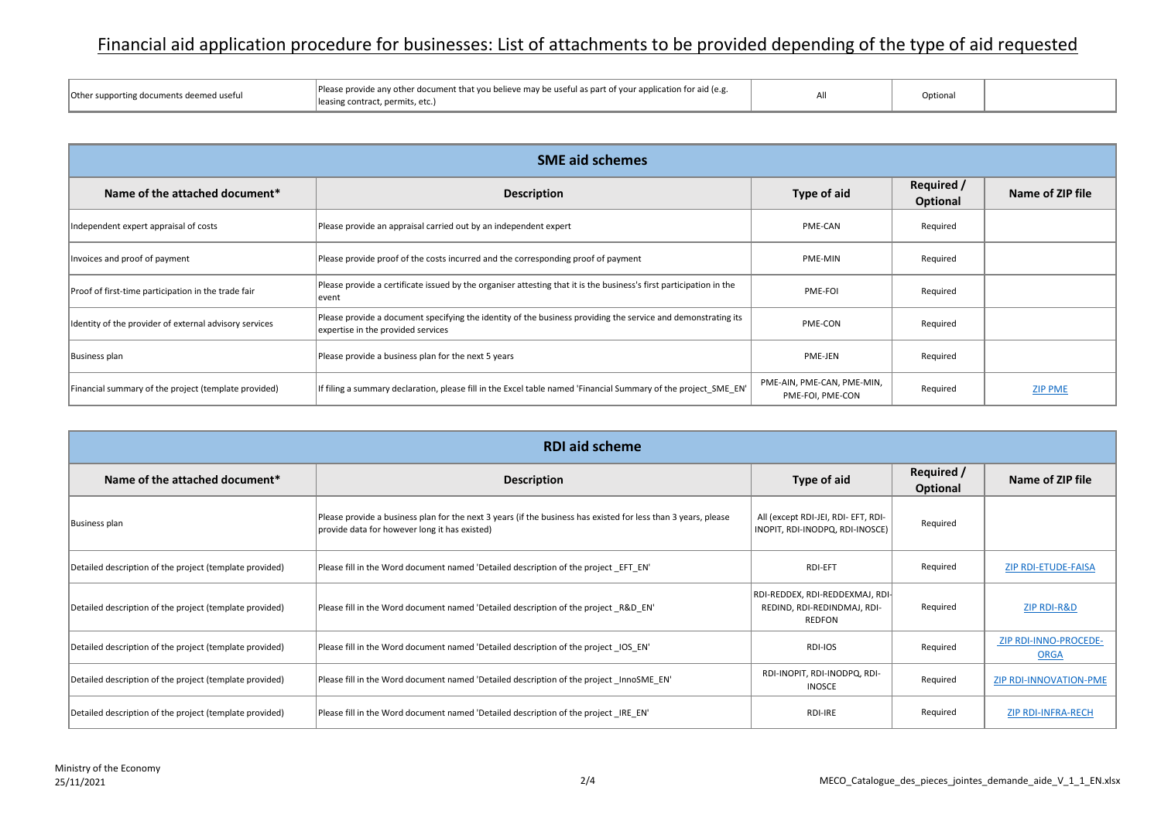## Financial aid application procedure for businesses: List of attachments to be provided depending of the type of aid requested

| Other supporting documents deemed useful | Please provide any other document that you believe may be useful as part of your application for aid (e.g.<br>(leasing contract, permits, etc.) |  | Jptional |  |
|------------------------------------------|-------------------------------------------------------------------------------------------------------------------------------------------------|--|----------|--|
|------------------------------------------|-------------------------------------------------------------------------------------------------------------------------------------------------|--|----------|--|

| <b>SME aid schemes</b>                                 |                                                                                                                                                     |                                                |                        |                  |
|--------------------------------------------------------|-----------------------------------------------------------------------------------------------------------------------------------------------------|------------------------------------------------|------------------------|------------------|
| Name of the attached document*                         | <b>Description</b>                                                                                                                                  | Type of aid                                    | Required /<br>Optional | Name of ZIP file |
| Independent expert appraisal of costs                  | Please provide an appraisal carried out by an independent expert                                                                                    | PME-CAN                                        | Required               |                  |
| Invoices and proof of payment                          | Please provide proof of the costs incurred and the corresponding proof of payment                                                                   | PME-MIN                                        | Required               |                  |
| Proof of first-time participation in the trade fair    | Please provide a certificate issued by the organiser attesting that it is the business's first participation in the<br>event                        | PME-FOI                                        | Required               |                  |
| Identity of the provider of external advisory services | Please provide a document specifying the identity of the business providing the service and demonstrating its<br>expertise in the provided services | PME-CON                                        | Required               |                  |
| Business plan                                          | Please provide a business plan for the next 5 years                                                                                                 | PME-JEN                                        | Required               |                  |
| Financial summary of the project (template provided)   | If filing a summary declaration, please fill in the Excel table named 'Financial Summary of the project SME EN'                                     | PME-AIN, PME-CAN, PME-MIN,<br>PME-FOI, PME-CON | Required               | <b>ZIP PME</b>   |

| <b>RDI</b> aid scheme                                   |                                                                                                                                                                 |                                                                                 |                        |                                      |
|---------------------------------------------------------|-----------------------------------------------------------------------------------------------------------------------------------------------------------------|---------------------------------------------------------------------------------|------------------------|--------------------------------------|
| Name of the attached document*                          | <b>Description</b>                                                                                                                                              | Type of aid                                                                     | Required /<br>Optional | Name of ZIP file                     |
| Business plan                                           | Please provide a business plan for the next 3 years (if the business has existed for less than 3 years, please<br>provide data for however long it has existed) | All (except RDI-JEI, RDI- EFT, RDI-<br>INOPIT, RDI-INODPQ, RDI-INOSCE)          | Required               |                                      |
| Detailed description of the project (template provided) | Please fill in the Word document named 'Detailed description of the project EFT EN'                                                                             | <b>RDI-EFT</b>                                                                  | Required               | <b>ZIP RDI-ETUDE-FAISA</b>           |
| Detailed description of the project (template provided) | Please fill in the Word document named 'Detailed description of the project R&D EN'                                                                             | RDI-REDDEX, RDI-REDDEXMAJ, RDI-<br>REDIND, RDI-REDINDMAJ, RDI-<br><b>REDFON</b> | Required               | ZIP RDI-R&D                          |
| Detailed description of the project (template provided) | Please fill in the Word document named 'Detailed description of the project IOS EN'                                                                             | RDI-IOS                                                                         | Required               | ZIP RDI-INNO-PROCEDE-<br><b>ORGA</b> |
| Detailed description of the project (template provided) | Please fill in the Word document named 'Detailed description of the project InnoSME EN'                                                                         | RDI-INOPIT, RDI-INODPQ, RDI-<br><b>INOSCE</b>                                   | Required               | <b>ZIP RDI-INNOVATION-PME</b>        |
| Detailed description of the project (template provided) | Please fill in the Word document named 'Detailed description of the project IRE EN'                                                                             | RDI-IRE                                                                         | Reguired               | <b>ZIP RDI-INFRA-RECH</b>            |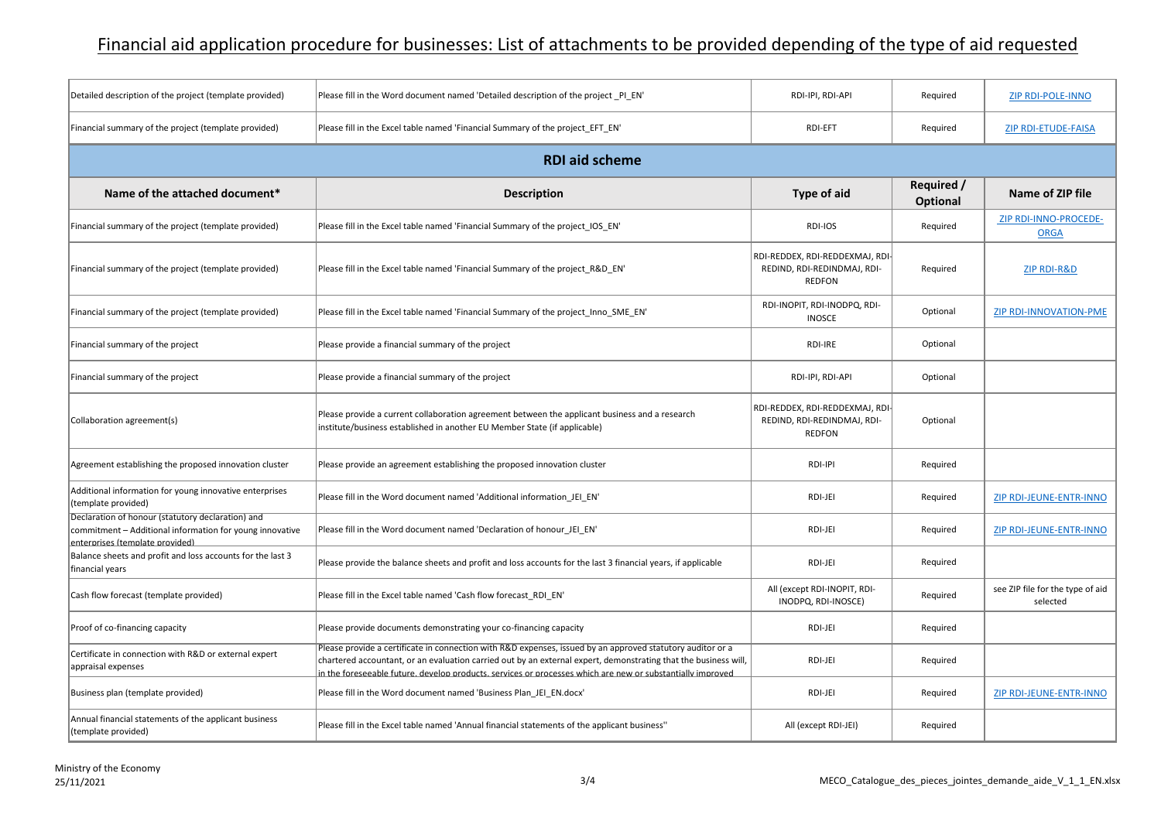## Financial aid application procedure for businesses: List of attachments to be provided depending of the type of aid requested

| Detailed description of the project (template provided)                                                                                          | Please fill in the Word document named 'Detailed description of the project PI EN'                                                                                                                                                                                                                                                          | RDI-IPI, RDI-API                                                                | Required               | <b>ZIP RDI-POLE-INNO</b>                     |
|--------------------------------------------------------------------------------------------------------------------------------------------------|---------------------------------------------------------------------------------------------------------------------------------------------------------------------------------------------------------------------------------------------------------------------------------------------------------------------------------------------|---------------------------------------------------------------------------------|------------------------|----------------------------------------------|
| Financial summary of the project (template provided)                                                                                             | Please fill in the Excel table named 'Financial Summary of the project_EFT_EN'                                                                                                                                                                                                                                                              | <b>RDI-EFT</b>                                                                  | Required               | <b>ZIP RDI-ETUDE-FAISA</b>                   |
|                                                                                                                                                  | <b>RDI aid scheme</b>                                                                                                                                                                                                                                                                                                                       |                                                                                 |                        |                                              |
| Name of the attached document*                                                                                                                   | <b>Description</b>                                                                                                                                                                                                                                                                                                                          | Type of aid                                                                     | Required /<br>Optional | Name of ZIP file                             |
| Financial summary of the project (template provided)                                                                                             | Please fill in the Excel table named 'Financial Summary of the project IOS EN'                                                                                                                                                                                                                                                              | RDI-IOS                                                                         | Required               | ZIP RDI-INNO-PROCEDE-<br><b>ORGA</b>         |
| Financial summary of the project (template provided)                                                                                             | Please fill in the Excel table named 'Financial Summary of the project R&D EN'                                                                                                                                                                                                                                                              | RDI-REDDEX, RDI-REDDEXMAJ, RDI-<br>REDIND, RDI-REDINDMAJ, RDI-<br><b>REDFON</b> | Required               | <b>ZIP RDI-R&amp;D</b>                       |
| Financial summary of the project (template provided)                                                                                             | Please fill in the Excel table named 'Financial Summary of the project_Inno_SME_EN'                                                                                                                                                                                                                                                         | RDI-INOPIT, RDI-INODPQ, RDI-<br><b>INOSCE</b>                                   | Optional               | <b>ZIP RDI-INNOVATION-PME</b>                |
| Financial summary of the project                                                                                                                 | Please provide a financial summary of the project                                                                                                                                                                                                                                                                                           | RDI-IRE                                                                         | Optional               |                                              |
| Financial summary of the project                                                                                                                 | Please provide a financial summary of the project                                                                                                                                                                                                                                                                                           | RDI-IPI, RDI-API                                                                | Optional               |                                              |
| Collaboration agreement(s)                                                                                                                       | Please provide a current collaboration agreement between the applicant business and a research<br>institute/business established in another EU Member State (if applicable)                                                                                                                                                                 | RDI-REDDEX, RDI-REDDEXMAJ, RDI-<br>REDIND, RDI-REDINDMAJ, RDI-<br><b>REDFON</b> | Optional               |                                              |
| Agreement establishing the proposed innovation cluster                                                                                           | Please provide an agreement establishing the proposed innovation cluster                                                                                                                                                                                                                                                                    | RDI-IPI                                                                         | Required               |                                              |
| Additional information for young innovative enterprises<br>(template provided)                                                                   | Please fill in the Word document named 'Additional information JEI EN'                                                                                                                                                                                                                                                                      | RDI-JEI                                                                         | Required               | ZIP RDI-JEUNE-ENTR-INNO                      |
| Declaration of honour (statutory declaration) and<br>commitment - Additional information for young innovative<br>enterprises (template provided) | Please fill in the Word document named 'Declaration of honour JEI EN'                                                                                                                                                                                                                                                                       | RDI-JEI                                                                         | Required               | ZIP RDI-JEUNE-ENTR-INNO                      |
| Balance sheets and profit and loss accounts for the last 3<br>financial years                                                                    | Please provide the balance sheets and profit and loss accounts for the last 3 financial years, if applicable                                                                                                                                                                                                                                | RDI-JEI                                                                         | Required               |                                              |
| Cash flow forecast (template provided)                                                                                                           | Please fill in the Excel table named 'Cash flow forecast_RDI_EN'                                                                                                                                                                                                                                                                            | All (except RDI-INOPIT, RDI-<br>INODPQ, RDI-INOSCE)                             | Required               | see ZIP file for the type of aid<br>selected |
| Proof of co-financing capacity                                                                                                                   | Please provide documents demonstrating your co-financing capacity                                                                                                                                                                                                                                                                           | RDI-JEI                                                                         | Required               |                                              |
| Certificate in connection with R&D or external expert<br>appraisal expenses                                                                      | Please provide a certificate in connection with R&D expenses, issued by an approved statutory auditor or a<br>chartered accountant, or an evaluation carried out by an external expert, demonstrating that the business will,<br>in the foreseeable future, develop products, services or processes which are new or substantially improved | RDI-JEI                                                                         | Required               |                                              |
| Business plan (template provided)                                                                                                                | Please fill in the Word document named 'Business Plan JEI EN.docx'                                                                                                                                                                                                                                                                          | RDI-JEI                                                                         | Required               | ZIP RDI-JEUNE-ENTR-INNO                      |
| Annual financial statements of the applicant business<br>(template provided)                                                                     | Please fill in the Excel table named 'Annual financial statements of the applicant business"                                                                                                                                                                                                                                                | All (except RDI-JEI)                                                            | Required               |                                              |